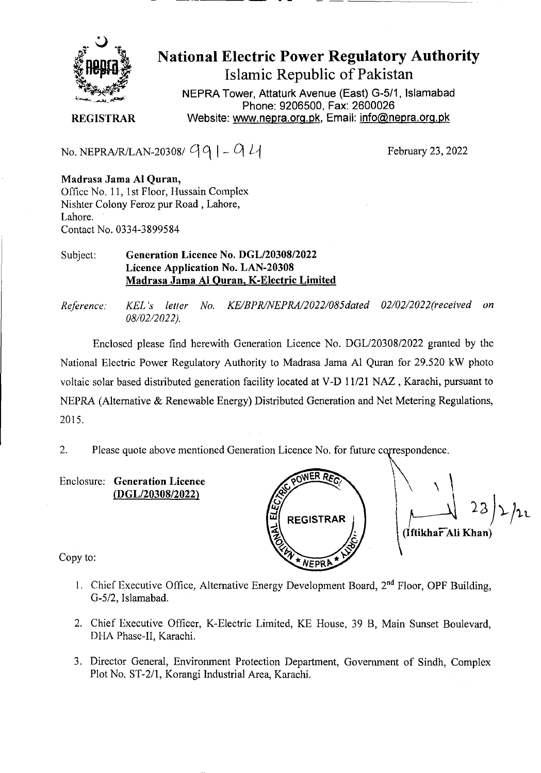

# National Electric Power Regulatory Authority Islamic Republic of Pakistan

**NEPRA Tower, Attaturk Avenue (East) G-511, Islamabad Phone: 9206500, Fax: 2600026 REGISTRAR** Website: www.nepra.org.pk, Email: info@nepra.org.pk

No. NEPRA/R/LAN-20308/ $q_1 - q_1$ 

February 23, 2022

**Madrasa Jama** Al **Quran,**  Office No. 11, 1st Floor, Hussain Complex Nishter Colony Feroz pur Road, Lahore, Lahore. Contact No. 0334-3899584

### Subject: **Generation Licence No.** *DGL12030812022*  **Licence Application No. LAN-20308 Madrasa Jama Al Quran,K-Electric Limited**

*Reference. KEL 's letter No. KE/BPR/NEPRA/2022/085da1ed 02/02/2022('received on 08/02/2022).* 

Enclosed please find herewith Generation Licence No. DGL/20308/2022 granted by the National Electric Power Regulatory Authority to Madrasa Jama Al Quran *for* 29.520 kW photo voltaic solar based distributed generation facility located at V-D 11/21 NAZ , Karachi, pursuant to NEPRA (Alternative & Renewable Energy) Distributed Generation and Net Metering Regulations, 2015.

2. Please quote above mentioned Generation Licence No. for future correspondence.

**Enclosure: Generation Licence (DGL/20308/2022)** 



Copy to:

- 1. Chief Executive Office, Alternative Energy Development Board, 2<sup>nd</sup> Floor, OPF Building, G-5/2, Islamabad.
- 2. Chief Executive Officer, K-Electric Limited, KE House, 39 B, Main Sunset Boulevard, DHA Phase-IT, Karachi.
- 3. Director General, Environment Protection Department, Government of Sindh, Complex Plot No. ST-2/l, Korangi Industrial Area, Karachi.